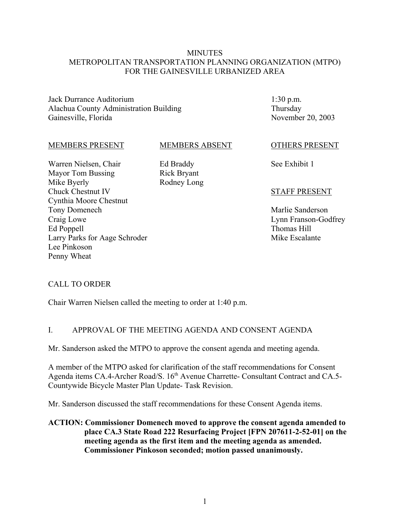### **MINUTES** METROPOLITAN TRANSPORTATION PLANNING ORGANIZATION (MTPO) FOR THE GAINESVILLE URBANIZED AREA

Jack Durrance Auditorium Alachua County Administration Building Gainesville, Florida

1:30 p.m. Thursday November 20, 2003

#### MEMBERS PRESENT

MEMBERS ABSENT

Warren Nielsen, Chair Mayor Tom Bussing Mike Byerly Chuck Chestnut IV Cynthia Moore Chestnut Tony Domenech Craig Lowe Ed Poppell Larry Parks for Aage Schroder Lee Pinkoson Penny Wheat

Ed Braddy Rick Bryant Rodney Long

#### OTHERS PRESENT

See Exhibit 1

#### STAFF PRESENT

Marlie Sanderson Lynn Franson-Godfrey Thomas Hill Mike Escalante

### CALL TO ORDER

Chair Warren Nielsen called the meeting to order at 1:40 p.m.

#### I. APPROVAL OF THE MEETING AGENDA AND CONSENT AGENDA

Mr. Sanderson asked the MTPO to approve the consent agenda and meeting agenda.

A member of the MTPO asked for clarification of the staff recommendations for Consent Agenda items CA.4-Archer Road/S. 16<sup>th</sup> Avenue Charrette- Consultant Contract and CA.5-Countywide Bicycle Master Plan Update- Task Revision.

Mr. Sanderson discussed the staff recommendations for these Consent Agenda items.

**ACTION: Commissioner Domenech moved to approve the consent agenda amended to place CA.3 State Road 222 Resurfacing Project [FPN 207611-2-52-01] on the meeting agenda as the first item and the meeting agenda as amended. Commissioner Pinkoson seconded; motion passed unanimously.**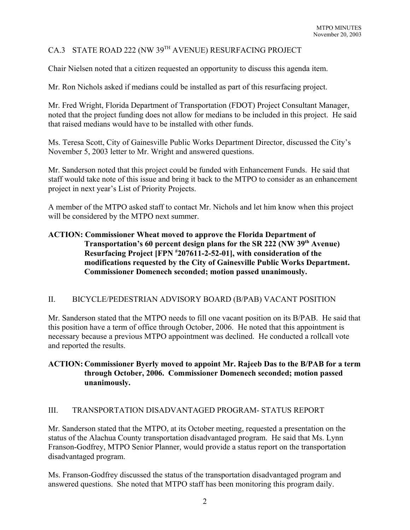# CA.3 STATE ROAD 222 (NW 39TH AVENUE) RESURFACING PROJECT

Chair Nielsen noted that a citizen requested an opportunity to discuss this agenda item.

Mr. Ron Nichols asked if medians could be installed as part of this resurfacing project.

Mr. Fred Wright, Florida Department of Transportation (FDOT) Project Consultant Manager, noted that the project funding does not allow for medians to be included in this project. He said that raised medians would have to be installed with other funds.

Ms. Teresa Scott, City of Gainesville Public Works Department Director, discussed the City's November 5, 2003 letter to Mr. Wright and answered questions.

Mr. Sanderson noted that this project could be funded with Enhancement Funds. He said that staff would take note of this issue and bring it back to the MTPO to consider as an enhancement project in next year's List of Priority Projects.

A member of the MTPO asked staff to contact Mr. Nichols and let him know when this project will be considered by the MTPO next summer.

# **ACTION: Commissioner Wheat moved to approve the Florida Department of Transportation's 60 percent design plans for the SR 222 (NW 39th Avenue) Resurfacing Project [FPN # 207611-2-52-01], with consideration of the modifications requested by the City of Gainesville Public Works Department. Commissioner Domenech seconded; motion passed unanimously.**

# II. BICYCLE/PEDESTRIAN ADVISORY BOARD (B/PAB) VACANT POSITION

Mr. Sanderson stated that the MTPO needs to fill one vacant position on its B/PAB. He said that this position have a term of office through October, 2006. He noted that this appointment is necessary because a previous MTPO appointment was declined. He conducted a rollcall vote and reported the results.

## **ACTION: Commissioner Byerly moved to appoint Mr. Rajeeb Das to the B/PAB for a term through October, 2006. Commissioner Domenech seconded; motion passed unanimously.**

# III. TRANSPORTATION DISADVANTAGED PROGRAM- STATUS REPORT

Mr. Sanderson stated that the MTPO, at its October meeting, requested a presentation on the status of the Alachua County transportation disadvantaged program. He said that Ms. Lynn Franson-Godfrey, MTPO Senior Planner, would provide a status report on the transportation disadvantaged program.

Ms. Franson-Godfrey discussed the status of the transportation disadvantaged program and answered questions. She noted that MTPO staff has been monitoring this program daily.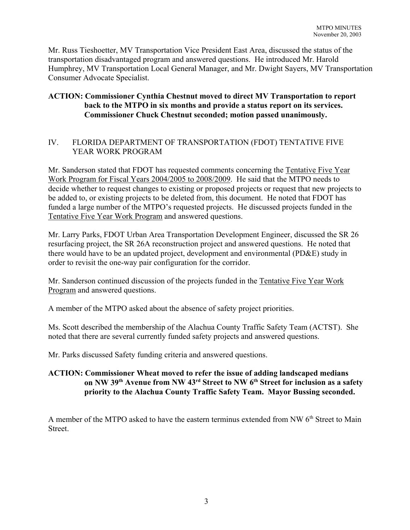Mr. Russ Tieshoetter, MV Transportation Vice President East Area, discussed the status of the transportation disadvantaged program and answered questions. He introduced Mr. Harold Humphrey, MV Transportation Local General Manager, and Mr. Dwight Sayers, MV Transportation Consumer Advocate Specialist.

# **ACTION: Commissioner Cynthia Chestnut moved to direct MV Transportation to report back to the MTPO in six months and provide a status report on its services. Commissioner Chuck Chestnut seconded; motion passed unanimously.**

# IV. FLORIDA DEPARTMENT OF TRANSPORTATION (FDOT) TENTATIVE FIVE YEAR WORK PROGRAM

Mr. Sanderson stated that FDOT has requested comments concerning the Tentative Five Year Work Program for Fiscal Years 2004/2005 to 2008/2009. He said that the MTPO needs to decide whether to request changes to existing or proposed projects or request that new projects to be added to, or existing projects to be deleted from, this document. He noted that FDOT has funded a large number of the MTPO's requested projects. He discussed projects funded in the Tentative Five Year Work Program and answered questions.

Mr. Larry Parks, FDOT Urban Area Transportation Development Engineer, discussed the SR 26 resurfacing project, the SR 26A reconstruction project and answered questions. He noted that there would have to be an updated project, development and environmental (PD&E) study in order to revisit the one-way pair configuration for the corridor.

Mr. Sanderson continued discussion of the projects funded in the Tentative Five Year Work Program and answered questions.

A member of the MTPO asked about the absence of safety project priorities.

Ms. Scott described the membership of the Alachua County Traffic Safety Team (ACTST). She noted that there are several currently funded safety projects and answered questions.

Mr. Parks discussed Safety funding criteria and answered questions.

# **ACTION: Commissioner Wheat moved to refer the issue of adding landscaped medians on NW 39th Avenue from NW 43rd Street to NW 6th Street for inclusion as a safety priority to the Alachua County Traffic Safety Team. Mayor Bussing seconded.**

A member of the MTPO asked to have the eastern terminus extended from NW 6<sup>th</sup> Street to Main **Street**.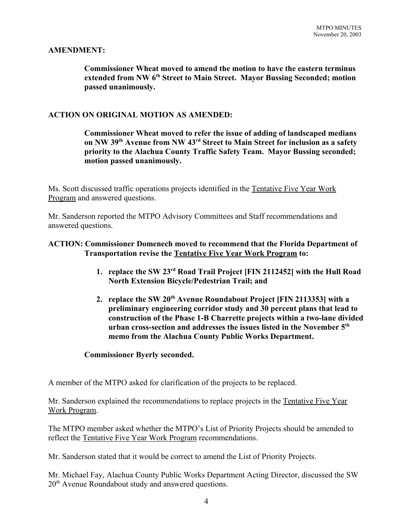### **AMENDMENT:**

**Commissioner Wheat moved to amend the motion to have the eastern terminus** extended from NW 6<sup>th</sup> Street to Main Street. Mayor Bussing Seconded; motion **passed unanimously.**

### **ACTION ON ORIGINAL MOTION AS AMENDED:**

**Commissioner Wheat moved to refer the issue of adding of landscaped medians on NW 39th Avenue from NW 43rd Street to Main Street for inclusion as a safety priority to the Alachua County Traffic Safety Team. Mayor Bussing seconded; motion passed unanimously.**

Ms. Scott discussed traffic operations projects identified in the Tentative Five Year Work Program and answered questions.

Mr. Sanderson reported the MTPO Advisory Committees and Staff recommendations and answered questions.

### **ACTION: Commissioner Domenech moved to recommend that the Florida Department of Transportation revise the Tentative Five Year Work Program to:**

- **1. replace the SW 23rd Road Trail Project [FIN 2112452] with the Hull Road North Extension Bicycle/Pedestrian Trail; and**
- **2. replace the SW 20th Avenue Roundabout Project [FIN 2113353] with a preliminary engineering corridor study and 30 percent plans that lead to construction of the Phase 1-B Charrette projects within a two-lane divided urban cross-section and addresses the issues listed in the November 5th memo from the Alachua County Public Works Department.**

#### **Commissioner Byerly seconded.**

A member of the MTPO asked for clarification of the projects to be replaced.

Mr. Sanderson explained the recommendations to replace projects in the Tentative Five Year Work Program.

The MTPO member asked whether the MTPO's List of Priority Projects should be amended to reflect the Tentative Five Year Work Program recommendations.

Mr. Sanderson stated that it would be correct to amend the List of Priority Projects.

Mr. Michael Fay, Alachua County Public Works Department Acting Director, discussed the SW 20<sup>th</sup> Avenue Roundabout study and answered questions.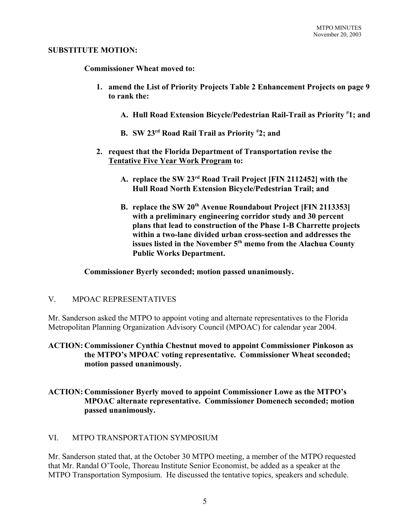#### **SUBSTITUTE MOTION:**

**Commissioner Wheat moved to:** 

- **1. amend the List of Priority Projects Table 2 Enhancement Projects on page 9 to rank the:** 
	- **A. Hull Road Extension Bicycle/Pedestrian Rail-Trail as Priority # 1; and**
	- **B. SW 23rd Road Rail Trail as Priority # 2; and**
- **2. request that the Florida Department of Transportation revise the Tentative Five Year Work Program to:**
	- **A. replace the SW 23rd Road Trail Project [FIN 2112452] with the Hull Road North Extension Bicycle/Pedestrian Trail; and**
	- **B. replace the SW 20<sup>th</sup> Avenue Roundabout Project [FIN 2113353] with a preliminary engineering corridor study and 30 percent plans that lead to construction of the Phase 1-B Charrette projects within a two-lane divided urban cross-section and addresses the issues listed in the November 5th memo from the Alachua County Public Works Department.**

**Commissioner Byerly seconded; motion passed unanimously.**

### V. MPOAC REPRESENTATIVES

Mr. Sanderson asked the MTPO to appoint voting and alternate representatives to the Florida Metropolitan Planning Organization Advisory Council (MPOAC) for calendar year 2004.

**ACTION: Commissioner Cynthia Chestnut moved to appoint Commissioner Pinkoson as the MTPO's MPOAC voting representative. Commissioner Wheat seconded; motion passed unanimously.**

## **ACTION: Commissioner Byerly moved to appoint Commissioner Lowe as the MTPO's MPOAC alternate representative. Commissioner Domenech seconded; motion passed unanimously.**

### VI. MTPO TRANSPORTATION SYMPOSIUM

Mr. Sanderson stated that, at the October 30 MTPO meeting, a member of the MTPO requested that Mr. Randal O'Toole, Thoreau Institute Senior Economist, be added as a speaker at the MTPO Transportation Symposium. He discussed the tentative topics, speakers and schedule.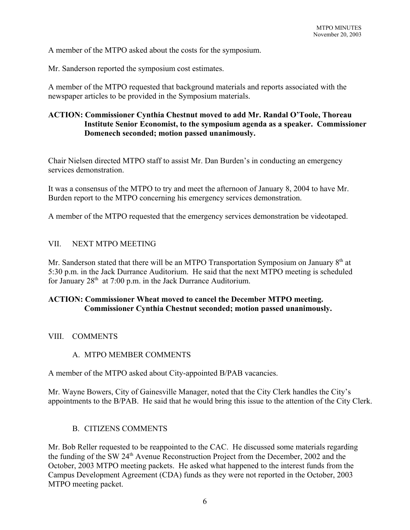A member of the MTPO asked about the costs for the symposium.

Mr. Sanderson reported the symposium cost estimates.

A member of the MTPO requested that background materials and reports associated with the newspaper articles to be provided in the Symposium materials.

# **ACTION: Commissioner Cynthia Chestnut moved to add Mr. Randal O'Toole, Thoreau Institute Senior Economist, to the symposium agenda as a speaker. Commissioner Domenech seconded; motion passed unanimously.**

Chair Nielsen directed MTPO staff to assist Mr. Dan Burden's in conducting an emergency services demonstration.

It was a consensus of the MTPO to try and meet the afternoon of January 8, 2004 to have Mr. Burden report to the MTPO concerning his emergency services demonstration.

A member of the MTPO requested that the emergency services demonstration be videotaped.

### VII. NEXT MTPO MEETING

Mr. Sanderson stated that there will be an MTPO Transportation Symposium on January 8<sup>th</sup> at 5:30 p.m. in the Jack Durrance Auditorium. He said that the next MTPO meeting is scheduled for January  $28<sup>th</sup>$  at 7:00 p.m. in the Jack Durrance Auditorium.

## **ACTION: Commissioner Wheat moved to cancel the December MTPO meeting. Commissioner Cynthia Chestnut seconded; motion passed unanimously.**

### VIII. COMMENTS

### A. MTPO MEMBER COMMENTS

A member of the MTPO asked about City-appointed B/PAB vacancies.

Mr. Wayne Bowers, City of Gainesville Manager, noted that the City Clerk handles the City's appointments to the B/PAB. He said that he would bring this issue to the attention of the City Clerk.

### B. CITIZENS COMMENTS

Mr. Bob Reller requested to be reappointed to the CAC. He discussed some materials regarding the funding of the SW 24th Avenue Reconstruction Project from the December, 2002 and the October, 2003 MTPO meeting packets. He asked what happened to the interest funds from the Campus Development Agreement (CDA) funds as they were not reported in the October, 2003 MTPO meeting packet.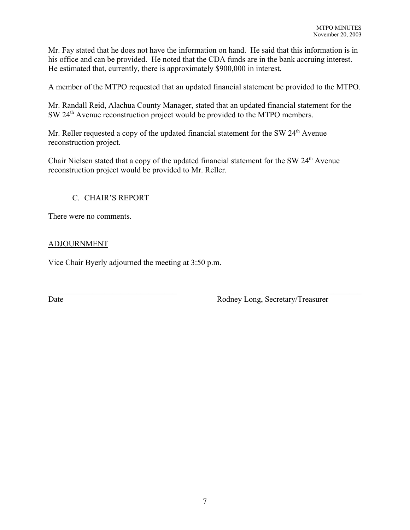Mr. Fay stated that he does not have the information on hand. He said that this information is in his office and can be provided. He noted that the CDA funds are in the bank accruing interest. He estimated that, currently, there is approximately \$900,000 in interest.

A member of the MTPO requested that an updated financial statement be provided to the MTPO.

Mr. Randall Reid, Alachua County Manager, stated that an updated financial statement for the SW 24<sup>th</sup> Avenue reconstruction project would be provided to the MTPO members.

Mr. Reller requested a copy of the updated financial statement for the SW 24<sup>th</sup> Avenue reconstruction project.

Chair Nielsen stated that a copy of the updated financial statement for the SW 24<sup>th</sup> Avenue reconstruction project would be provided to Mr. Reller.

 $\mathcal{L}_\text{max} = \mathcal{L}_\text{max} = \mathcal{L}_\text{max} = \mathcal{L}_\text{max} = \mathcal{L}_\text{max} = \mathcal{L}_\text{max} = \mathcal{L}_\text{max} = \mathcal{L}_\text{max} = \mathcal{L}_\text{max} = \mathcal{L}_\text{max} = \mathcal{L}_\text{max} = \mathcal{L}_\text{max} = \mathcal{L}_\text{max} = \mathcal{L}_\text{max} = \mathcal{L}_\text{max} = \mathcal{L}_\text{max} = \mathcal{L}_\text{max} = \mathcal{L}_\text{max} = \mathcal{$ 

# C. CHAIR'S REPORT

There were no comments.

# ADJOURNMENT

Vice Chair Byerly adjourned the meeting at 3:50 p.m.

Date **Date** Rodney Long, Secretary/Treasurer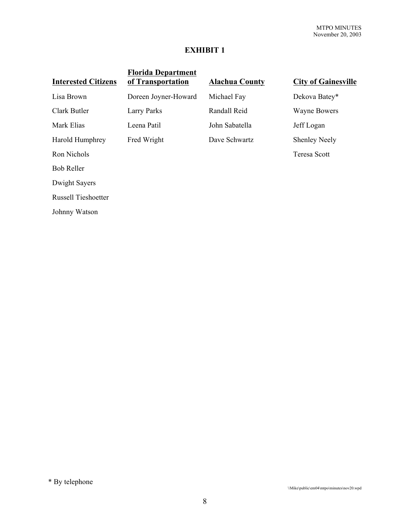# **EXHIBIT 1**

| <b>Interested Citizens</b> | <b>Florida Department</b><br>of Transportation | <b>Alachua County</b> | <b>City of Gainesville</b> |
|----------------------------|------------------------------------------------|-----------------------|----------------------------|
| Lisa Brown                 | Doreen Joyner-Howard                           | Michael Fay           | Dekova Batey*              |
| Clark Butler               | Larry Parks                                    | Randall Reid          | <b>Wayne Bowers</b>        |
| Mark Elias                 | Leena Patil                                    | John Sabatella        | Jeff Logan                 |
| Harold Humphrey            | Fred Wright                                    | Dave Schwartz         | <b>Shenley Neely</b>       |
| Ron Nichols                |                                                |                       | Teresa Scott               |
| <b>Bob Reller</b>          |                                                |                       |                            |
| Dwight Sayers              |                                                |                       |                            |
| <b>Russell Tieshoetter</b> |                                                |                       |                            |
| Johnny Watson              |                                                |                       |                            |
|                            |                                                |                       |                            |

\* By telephone

\\Mike\public\em04\mtpo\minutes\nov20.wpd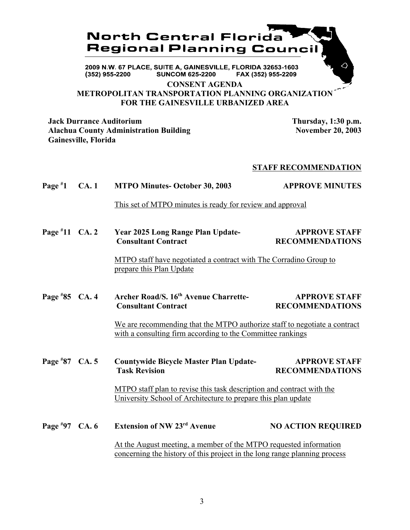

FAX (352) 955-2209 (352) 955-2200 **SUNCOM 625-2200** 

**CONSENT AGENDA**

**METROPOLITAN TRANSPORTATION PLANNING ORGANIZATION FOR THE GAINESVILLE URBANIZED AREA**

**Jack Durrance Auditorium Thursday, 1:30 p.m.** Alachua County Administration Building November 20, 2003 **Gainesville, Florida**

### **STAFF RECOMMENDATION**

**Page # 1 CA. 1 MTPO Minutes- October 30, 2003 APPROVE MINUTES**

This set of MTPO minutes is ready for review and approval

**Page # 11 Year 2025 Long Range Plan Update-** APPROVE STAFF **Consultant Contract RECOMMENDATIONS** 

> MTPO staff have negotiated a contract with The Corradino Group to prepare this Plan Update

**Page #** Archer Road/S. 16<sup>th</sup> Avenue Charrette- **APPROVE STAFF Consultant Contract RECOMMENDATIONS** 

> We are recommending that the MTPO authorize staff to negotiate a contract with a consulting firm according to the Committee rankings

**Page # 87 Countywide Bicycle Master Plan Update-** APPROVE STAFF **Task Revision RECOMMENDATIONS** 

> MTPO staff plan to revise this task description and contract with the University School of Architecture to prepare this plan update

**Page # Extension of NW 23<sup>rd</sup> Avenue NO ACTION REQUIRED** At the August meeting, a member of the MTPO requested information concerning the history of this project in the long range planning process